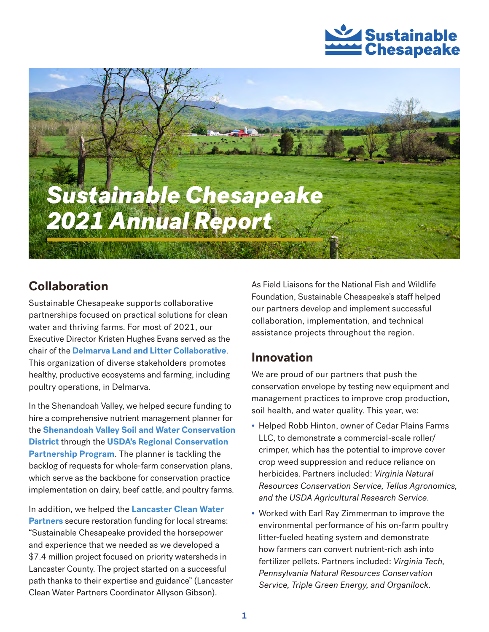



# **Collaboration**

Sustainable Chesapeake supports collaborative partnerships focused on practical solutions for clean water and thriving farms. For most of 2021, our Executive Director Kristen Hughes Evans served as the chair of the **[Delmarva Land and Litter Collaborative](https://delmarvalandandlitter.net/)**. This organization of diverse stakeholders promotes healthy, productive ecosystems and farming, including poultry operations, in Delmarva.

In the Shenandoah Valley, we helped secure funding to hire a comprehensive nutrient management planner for the **[Shenandoah Valley Soil and Water Conservation](https://svswcd.org/)  [District](https://svswcd.org/)** through the **[USDA's Regional Conservation](https://www.nrcs.usda.gov/wps/portal/nrcs/main/national/programs/financial/rcpp/)  [Partnership Program](https://www.nrcs.usda.gov/wps/portal/nrcs/main/national/programs/financial/rcpp/)**. The planner is tackling the backlog of requests for whole-farm conservation plans, which serve as the backbone for conservation practice implementation on dairy, beef cattle, and poultry farms.

In addition, we helped the **[Lancaster Clean Water](https://lancastercleanwaterpartners.com/)  [Partners](https://lancastercleanwaterpartners.com/)** secure restoration funding for local streams: "Sustainable Chesapeake provided the horsepower and experience that we needed as we developed a \$7.4 million project focused on priority watersheds in Lancaster County. The project started on a successful path thanks to their expertise and guidance" (Lancaster Clean Water Partners Coordinator Allyson Gibson).

As Field Liaisons for the National Fish and Wildlife Foundation, Sustainable Chesapeake's staff helped our partners develop and implement successful collaboration, implementation, and technical assistance projects throughout the region.

# **Innovation**

We are proud of our partners that push the conservation envelope by testing new equipment and management practices to improve crop production, soil health, and water quality. This year, we:

- **•** Helped Robb Hinton, owner of Cedar Plains Farms LLC, to demonstrate a commercial-scale roller/ crimper, which has the potential to improve cover crop weed suppression and reduce reliance on herbicides. Partners included: *Virginia Natural Resources Conservation Service, Tellus Agronomics, and the USDA Agricultural Research Service*.
- **•** Worked with Earl Ray Zimmerman to improve the environmental performance of his on-farm poultry litter-fueled heating system and demonstrate how farmers can convert nutrient-rich ash into fertilizer pellets. Partners included: *Virginia Tech, Pennsylvania Natural Resources Conservation Service, Triple Green Energy, and Organilock*.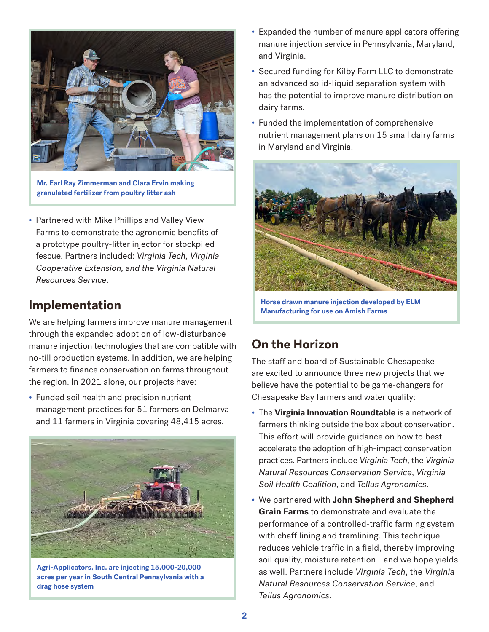

**Mr. Earl Ray Zimmerman and Clara Ervin making granulated fertilizer from poultry litter ash**

**•** Partnered with Mike Phillips and Valley View Farms to demonstrate the agronomic benefits of a prototype poultry-litter injector for stockpiled fescue. Partners included: *Virginia Tech, Virginia Cooperative Extension, and the Virginia Natural Resources Service*.

### **Implementation**

We are helping farmers improve manure management through the expanded adoption of low-disturbance manure injection technologies that are compatible with no-till production systems. In addition, we are helping farmers to finance conservation on farms throughout the region. In 2021 alone, our projects have:

**•** Funded soil health and precision nutrient management practices for 51 farmers on Delmarva and 11 farmers in Virginia covering 48,415 acres.



**Agri-Applicators, Inc. are injecting 15,000-20,000 acres per year in South Central Pennsylvania with a drag hose system**

- **•** Expanded the number of manure applicators offering manure injection service in Pennsylvania, Maryland, and Virginia.
- **•** Secured funding for Kilby Farm LLC to demonstrate an advanced solid-liquid separation system with has the potential to improve manure distribution on dairy farms.
- **•** Funded the implementation of comprehensive nutrient management plans on 15 small dairy farms in Maryland and Virginia.



**Horse drawn manure injection developed by ELM Manufacturing for use on Amish Farms**

# **On the Horizon**

The staff and board of Sustainable Chesapeake are excited to announce three new projects that we believe have the potential to be game-changers for Chesapeake Bay farmers and water quality:

- **•** The **Virginia Innovation Roundtable** is a network of farmers thinking outside the box about conservation. This effort will provide guidance on how to best accelerate the adoption of high-impact conservation practices. Partners include *Virginia Tech*, the *Virginia Natural Resources Conservation Service*, *Virginia Soil Health Coalition*, and *Tellus Agronomics*.
- **•** We partnered with **John Shepherd and Shepherd Grain Farms** to demonstrate and evaluate the performance of a controlled-traffic farming system with chaff lining and tramlining. This technique reduces vehicle traffic in a field, thereby improving soil quality, moisture retention—and we hope yields as well. Partners include *Virginia Tech*, the *Virginia Natural Resources Conservation Service*, and *Tellus Agronomics*.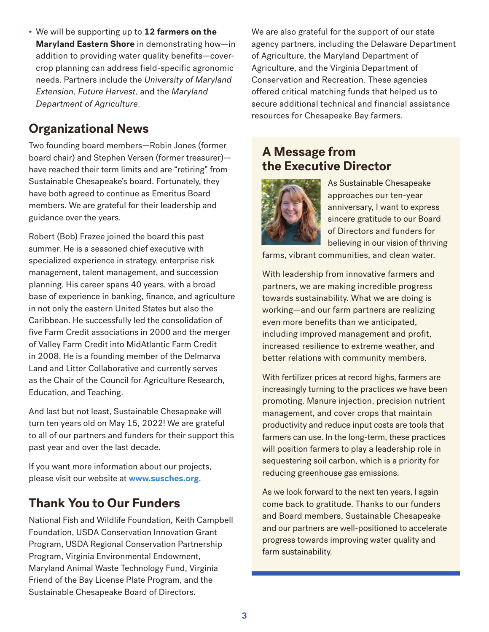**•** We will be supporting up to **12 farmers on the Maryland Eastern Shore** in demonstrating how—in addition to providing water quality benefits—covercrop planning can address field-specific agronomic needs. Partners include the *University of Maryland Extension*, *Future Harvest*, and the *Maryland Department of Agriculture*.

# **Organizational News**

Two founding board members—Robin Jones (former board chair) and Stephen Versen (former treasurer) have reached their term limits and are "retiring" from Sustainable Chesapeake's board. Fortunately, they have both agreed to continue as Emeritus Board members. We are grateful for their leadership and guidance over the years.

Robert (Bob) Frazee joined the board this past summer. He is a seasoned chief executive with specialized experience in strategy, enterprise risk management, talent management, and succession planning. His career spans 40 years, with a broad base of experience in banking, finance, and agriculture in not only the eastern United States but also the Caribbean. He successfully led the consolidation of five Farm Credit associations in 2000 and the merger of Valley Farm Credit into MidAtlantic Farm Credit in 2008. He is a founding member of the Delmarva Land and Litter Collaborative and currently serves as the Chair of the Council for Agriculture Research, Education, and Teaching.

And last but not least, Sustainable Chesapeake will turn ten years old on May 15, 2022! We are grateful to all of our partners and funders for their support this past year and over the last decade.

If you want more information about our projects, please visit our website at **[www.susches.org](http://www.susches.org)**.

# **Thank You to Our Funders**

National Fish and Wildlife Foundation, Keith Campbell Foundation, USDA Conservation Innovation Grant Program, USDA Regional Conservation Partnership Program, Virginia Environmental Endowment, Maryland Animal Waste Technology Fund, Virginia Friend of the Bay License Plate Program, and the Sustainable Chesapeake Board of Directors.

We are also grateful for the support of our state agency partners, including the Delaware Department of Agriculture, the Maryland Department of Agriculture, and the Virginia Department of Conservation and Recreation. These agencies offered critical matching funds that helped us to secure additional technical and financial assistance resources for Chesapeake Bay farmers.

## **A Message from the Executive Director**



As Sustainable Chesapeake approaches our ten-year anniversary, I want to express sincere gratitude to our Board of Directors and funders for believing in our vision of thriving

farms, vibrant communities, and clean water.

With leadership from innovative farmers and partners, we are making incredible progress towards sustainability. What we are doing is working—and our farm partners are realizing even more benefits than we anticipated, including improved management and profit, increased resilience to extreme weather, and better relations with community members.

With fertilizer prices at record highs, farmers are increasingly turning to the practices we have been promoting. Manure injection, precision nutrient management, and cover crops that maintain productivity and reduce input costs are tools that farmers can use. In the long-term, these practices will position farmers to play a leadership role in sequestering soil carbon, which is a priority for reducing greenhouse gas emissions.

As we look forward to the next ten years, I again come back to gratitude. Thanks to our funders and Board members, Sustainable Chesapeake and our partners are well-positioned to accelerate progress towards improving water quality and farm sustainability.